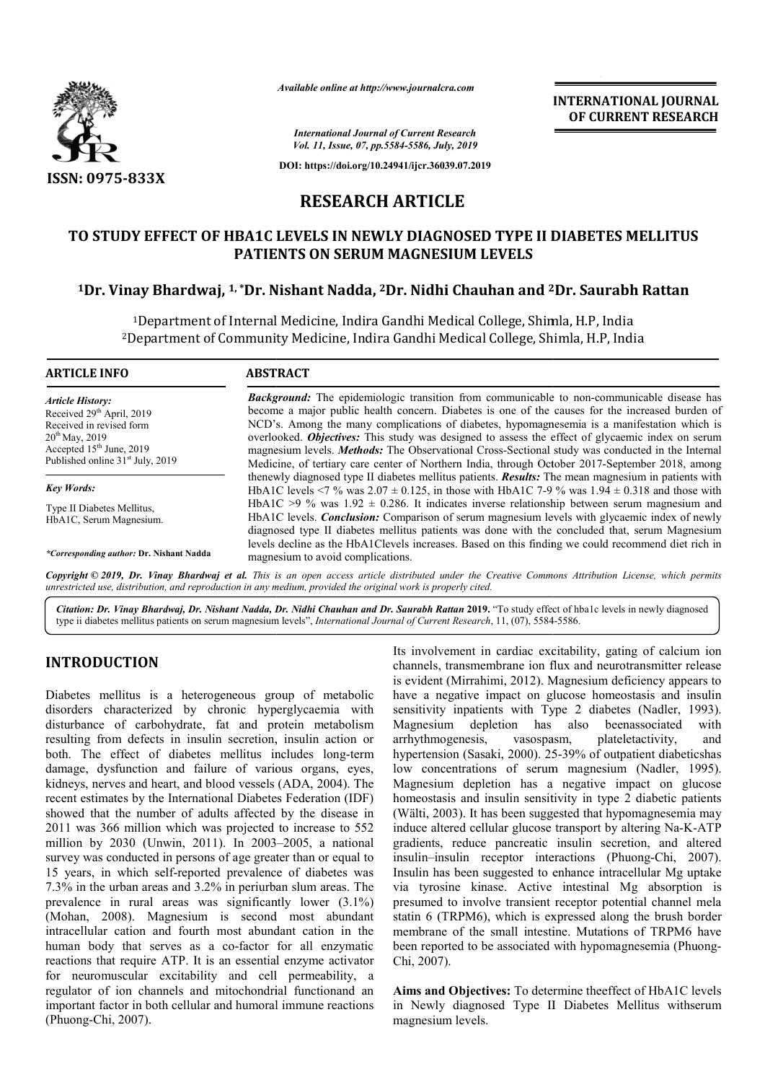

*Available online at http://www.journalcra.com*

**INTERNATIONAL JOURNAL OF CURRENT RESEARCH**

*International Journal of Current Research Vol. 11, Issue, 07, pp.5584-5586, July, 2019*

**DOI: https://doi.org/10.24941/ijcr.36039.07.2019**

# **RESEARCH ARTICLE**

# **TO STUDY EFFECT OF HBA1C LEVELS IN NEWLY DIAGNOSED TYPE II DIABETES MELLITUS PATIENTS ON SERUM MAGNESIUM LEVELS** O STUDY EFFECT OF HBA1C LEVELS IN NEWLY DIAGNOSED TYPE II DIABETES MELLITU<br>PATIENTS ON SERUM MAGNESIUM LEVELS<br><sup>1</sup>Dr. Vinay Bhardwaj, <sup>1, \*</sup>Dr. Nishant Nadda, <sup>2</sup>Dr. Nidhi Chauhan and <sup>2</sup>Dr. Saurabh Rattan

1Department of Internal Medicine, Indira Gandhi Medical College, Shimla, H.P, India <sup>1</sup>Department of Internal Medicine, Indira Gandhi Medical College, Shimla, H.P, India<br><sup>2</sup>Department of Community Medicine, Indira Gandhi Medical College, Shimla, H.P, India

#### **ARTICLE INFO ABSTRACT**

*Article History:* Received 29<sup>th</sup> April, 2019 Received in revised form 20<sup>th</sup> May, 2019 Accepted 15<sup>th</sup> June, 2019 Published online 31<sup>st</sup> July, 2019

*Key Words:* Type II Diabetes Mellitus, HbA1C, Serum Magnesium.

*\*Corresponding author:* **Dr. Nishant Nadda**

**Background:** The epidemiologic transition from communicable to non-communicable disease has become a major public health concern. Diabetes is one of the causes for the increased burden of become a major public health concern. Diabetes is one of the causes for the increased burden of NCD's. Among the many complications of diabetes, hypomagnesemia is a manifestation which is overlooked. *Objectives:* This study was designed to assess the effect of glycaemic index on serum magnesium levels. *Methods:* The Observational Cross-Sectional study was conducted in the Internal overlooked. *Objectives:* This study was designed to assess the effect of glycaemic index on serum<br>magnesium levels. *Methods:* The Observational Cross-Sectional study was conducted in the Internal<br>Medicine, of tertiary ca thenewly diagnosed type II diabetes mellitus patients. **Results:** The mean magnesium in patients with HbA1C levels  $\leq$  % was 2.07  $\pm$  0.125, in those with HbA1C 7-9 % was 1.94  $\pm$  0.318 and those with HbA1C  $>9$  % was 1.92  $\pm$  0.286. It indicates inverse relationship between serum magnesium and HbA1C levels. *Conclusion:* Comparison of serum magnesium levels with glycaemic index of newly diagnosed type II diabetes mellitus patients was done with the concluded that, serum Magnesium levels decline as the HbA1Clevels increases. Based on this finding we could recommend diet rich in magnesium to avoid complications. diabetes mellitus patients. **Results:** The mean magnesium in patients with  $0.7 \pm 0.125$ , in those with HbA1C 7-9 % was  $1.94 \pm 0.318$  and those with 0.286. It indicates inverse relationship between serum magnesium and Co

Copyright © 2019, Dr. Vinay Bhardwaj et al. This is an open access article distributed under the Creative Commons Attribution License, which permits *unrestricted use, distribution, and reproduction in any medium, provided the original work is properly cited.*

Citation: Dr. Vinay Bhardwaj, Dr. Nishant Nadda, Dr. Nidhi Chauhan and Dr. Saurabh Rattan 2019. "To study effect of hba1c levels in newly diagnosed type ii diabetes mellitus patients on serum magnesium levels", *International Journal of Current Research*, 11, (07), 5584-5586.

## **INTRODUCTION**

Diabetes mellitus is a heterogeneous group of metabolic disorders characterized by chronic hyperglycaemia with disturbance of carbohydrate, fat and protein metabolism resulting from defects in insulin secretion, insulin action or both. The effect of diabetes mellitus includes long-term damage, dysfunction and failure of various organs, eyes, kidneys, nerves and heart, and blood vessels (ADA, 2004). The recent estimates by the International Diabetes Federation (IDF) showed that the number of adults affected by the disease in 2011 was 366 million which was projected to increase to 552 showed that the number of adults affected by the disease in 2011 was 366 million which was projected to increase to 552 million by 2030 (Unwin, 2011). In 2003–2005, a national survey was conducted in persons of age greater than or equal to 15 years, in which self-reported prevalence of diabetes was 7.3% in the urban areas and 3.2% in periurban slum areas. The prevalence in rural areas was significantly lower (3.1%) (Mohan, 2008). Magnesium is second most abundant intracellular cation and fourth most abundant cation in the human body that serves as a co-factor for all enzymatic reactions that require ATP. It is an essential enzyme activator for neuromuscular excitability and cell permeability, a regulator of ion channels and mitochondrial functionand an important factor in both cellular and humoral immune reactions (Phuong-Chi, 2007).

Its involvement in cardiac excitability, gating of calcium ion<br>
charmels, transmenthenia con flux and neurotransmitter release<br>
ic hyperglycaemia with sensitivity inpatients with Type 2 diabetes (Nadler, 1993).<br>
and protei channels, transmembrane ion flux and neurotransmitter release is evident (Mirrahimi, 2012). Magnesium deficiency appears to have a negative impact on glucose homeostasis and insulin sensitivity inpatients with Type 2 diabetes (Nadler, 1993). Magnesium depletion has also beenassociated with arrhythmogenesis, vasospasm, plateletactivity, and Magnesium depletion has also beenassociated with arrhythmogenesis, vasospasm, plateletactivity, and<br>hypertension (Sasaki, 2000). 25-39% of outpatient diabeticshas low concentrations of serum magnesium (Nadler, 1995). Magnesium depletion has a negative impact on glucose homeostasis and insulin sensitivity in type 2 diabetic patients (Wälti, 2003). It has been suggested that hypomagnesemia may induce altered cellular glucose transport by altering Na-K-ATP gradients, reduce pancreatic insulin secretion, and altered gradients, reduce pancreatic insulin secretion, and altered insulin–insulin receptor interactions (Phuong-Chi, 2007). Insulin has been suggested to enhance intracellular Mg uptake via tyrosine kinase. Active intestinal Mg absorption is presumed to involve transient receptor potential channel mela statin 6 (TRPM6), which is expressed along the brush border membrane of the small intestine. Mutations of TRPM6 have been reported to be associated with hypomagnesemia (Phuong-Chi, 2007). Its involvement in cardiac excitability, gating of calcium ion channels, transmembrane ion flux and neurotransmitter release is evident (Mirrahimi, 2012). Magnesium deficiency appears to have a negative impact on glucose h depletion has a negative impact on glucose<br>and insulin sensitivity in type 2 diabetic patients<br>It has been suggested that hypomagnesemia may<br>I cellular glucose transport by altering Na-K-ATP ned to involve transient receptor potential channel mela<br>6 (TRPM6), which is expressed along the brush border<br>rane of the small intestine. Mutations of TRPM6 have<br>eported to be associated with hypomagnesemia (Phuong-**NAL JOURNAL**<br> **NAL JOURNAL**<br> **NELLITUS**<br> **NELLITUS**<br> **NELLITUS**<br> **NELLITUS**<br> **NELLITUS**<br> **NELLITUS**<br> **NELLITUS**<br> **NELLITUS**<br> **NELLITUS**<br> **NERESEARCH**<br>
<br>
<br>
<br>
<br>
ince index on serum<br>
interior 2018, among<br>
um magnesium and<br>
i

**Aims and Objectives:** To determine theeffect of HbA1C levels in Newly diagnosed Type II Diabetes Mellitus withserum magnesium levels.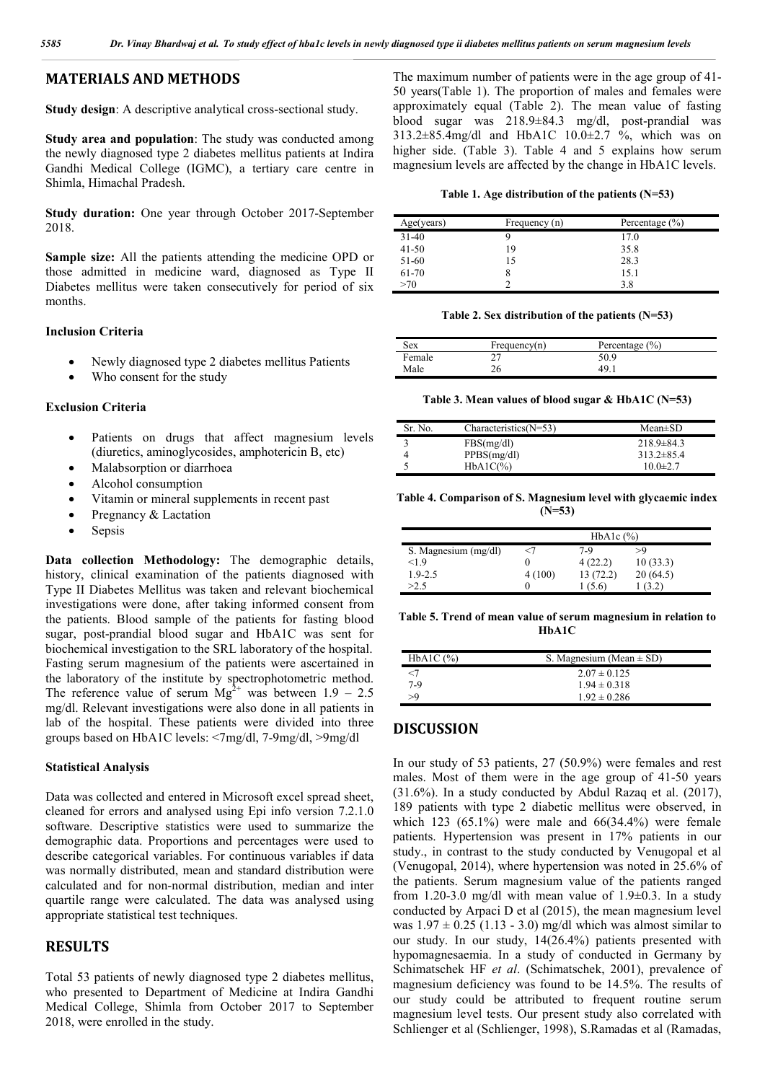### **MATERIALS AND METHODS**

**Study design**: A descriptive analytical cross-sectional study.

**Study area and population**: The study was conducted among the newly diagnosed type 2 diabetes mellitus patients at Indira Gandhi Medical College (IGMC), a tertiary care centre in Shimla, Himachal Pradesh.

**Study duration:** One year through October 2017-September 2018.

**Sample size:** All the patients attending the medicine OPD or those admitted in medicine ward, diagnosed as Type II Diabetes mellitus were taken consecutively for period of six months.

#### **Inclusion Criteria**

- Newly diagnosed type 2 diabetes mellitus Patients
- Who consent for the study

#### **Exclusion Criteria**

- Patients on drugs that affect magnesium levels (diuretics, aminoglycosides, amphotericin B, etc)
- Malabsorption or diarrhoea
- Alcohol consumption
- Vitamin or mineral supplements in recent past
- Pregnancy & Lactation
- Sepsis

**Data collection Methodology:** The demographic details, history, clinical examination of the patients diagnosed with Type II Diabetes Mellitus was taken and relevant biochemical investigations were done, after taking informed consent from the patients. Blood sample of the patients for fasting blood sugar, post-prandial blood sugar and HbA1C was sent for biochemical investigation to the SRL laboratory of the hospital. Fasting serum magnesium of the patients were ascertained in the laboratory of the institute by spectrophotometric method. The reference value of serum  $Mg^{2+}$  was between 1.9 – 2.5 mg/dl. Relevant investigations were also done in all patients in lab of the hospital. These patients were divided into three groups based on HbA1C levels: <7mg/dl, 7-9mg/dl, >9mg/dl

#### **Statistical Analysis**

Data was collected and entered in Microsoft excel spread sheet, cleaned for errors and analysed using Epi info version 7.2.1.0 software. Descriptive statistics were used to summarize the demographic data. Proportions and percentages were used to describe categorical variables. For continuous variables if data was normally distributed, mean and standard distribution were calculated and for non-normal distribution, median and inter quartile range were calculated. The data was analysed using appropriate statistical test techniques.

#### **RESULTS**

Total 53 patients of newly diagnosed type 2 diabetes mellitus, who presented to Department of Medicine at Indira Gandhi Medical College, Shimla from October 2017 to September 2018, were enrolled in the study.

The maximum number of patients were in the age group of 41- 50 years(Table 1). The proportion of males and females were approximately equal (Table 2). The mean value of fasting blood sugar was 218.9±84.3 mg/dl, post-prandial was  $313.2 \pm 85.4$ mg/dl and HbA1C  $10.0 \pm 2.7$  %, which was on higher side. (Table 3). Table 4 and 5 explains how serum magnesium levels are affected by the change in HbA1C levels.

**Table 1. Age distribution of the patients (N=53)**

| Age(years) | Frequency (n) | Percentage $(\% )$ |
|------------|---------------|--------------------|
| $31-40$    |               | 17.0               |
| $41 - 50$  | 19            | 35.8               |
| 51-60      |               | 28.3               |
| 61-70      |               | 15.1               |
| >70        |               | 3.8                |

**Table 2. Sex distribution of the patients (N=53)**

| Sex    | Frequency(n) | Percentage $(\% )$ |
|--------|--------------|--------------------|
| Female |              | 50.9               |
| Male   |              | 49                 |

**Table 3. Mean values of blood sugar & HbA1C (N=53)**

| Sr. No. | Characteristics $(N=53)$ | $Mean \pm SD$   |
|---------|--------------------------|-----------------|
|         | FBS(mg/dl)               | $218.9\pm 84.3$ |
|         | PPBS(mg/dl)              | $313.2\pm 85.4$ |
|         | $HbA1C\%$                | $10.0 \pm 2.7$  |

**Table 4. Comparison of S. Magnesium level with glycaemic index (N=53)**

|                      | $HbA1c$ $(\% )$ |          |          |
|----------------------|-----------------|----------|----------|
| S. Magnesium (mg/dl) |                 | 7-9      | 59       |
| < 1.9                |                 | 4(22.2)  | 10(33.3) |
| $1.9 - 2.5$          | 4(100)          | 13(72.2) | 20(64.5) |
| >2.5                 |                 | (5.6)    |          |

**Table 5. Trend of mean value of serum magnesium in relation to HbA1C**

| $HbA1C$ $(\%)$ | S. Magnesium (Mean $\pm$ SD) |  |
|----------------|------------------------------|--|
|                | $2.07 \pm 0.125$             |  |
| $7-9$          | $1.94 \pm 0.318$             |  |
| >9             | $1.92 \pm 0.286$             |  |

### **DISCUSSION**

In our study of 53 patients, 27 (50.9%) were females and rest males. Most of them were in the age group of 41-50 years (31.6%). In a study conducted by Abdul Razaq et al. (2017), 189 patients with type 2 diabetic mellitus were observed, in which 123 (65.1%) were male and 66(34.4%) were female patients. Hypertension was present in 17% patients in our study., in contrast to the study conducted by Venugopal et al (Venugopal, 2014), where hypertension was noted in 25.6% of the patients. Serum magnesium value of the patients ranged from 1.20-3.0 mg/dl with mean value of 1.9 $\pm$ 0.3. In a study conducted by Arpaci D et al (2015), the mean magnesium level was  $1.97 \pm 0.25$  (1.13 - 3.0) mg/dl which was almost similar to our study. In our study, 14(26.4%) patients presented with hypomagnesaemia. In a study of conducted in Germany by Schimatschek HF *et al*. (Schimatschek, 2001), prevalence of magnesium deficiency was found to be 14.5%. The results of our study could be attributed to frequent routine serum magnesium level tests. Our present study also correlated with Schlienger et al (Schlienger, 1998), S.Ramadas et al (Ramadas,